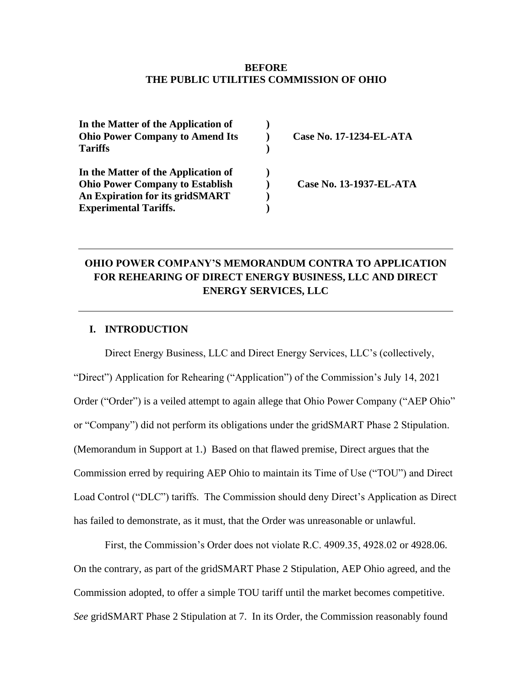### **BEFORE THE PUBLIC UTILITIES COMMISSION OF OHIO**

| In the Matter of the Application of    |                         |
|----------------------------------------|-------------------------|
| <b>Ohio Power Company to Amend Its</b> | Case No. 17-1234-EL-ATA |
| <b>Tariffs</b>                         |                         |
| In the Matter of the Application of    |                         |
| <b>Ohio Power Company to Establish</b> | Case No. 13-1937-EL-ATA |
| An Expiration for its gridSMART        |                         |
| <b>Experimental Tariffs.</b>           |                         |

# **OHIO POWER COMPANY'S MEMORANDUM CONTRA TO APPLICATION FOR REHEARING OF DIRECT ENERGY BUSINESS, LLC AND DIRECT ENERGY SERVICES, LLC**

## **I. INTRODUCTION**

Direct Energy Business, LLC and Direct Energy Services, LLC's (collectively, "Direct") Application for Rehearing ("Application") of the Commission's July 14, 2021 Order ("Order") is a veiled attempt to again allege that Ohio Power Company ("AEP Ohio" or "Company") did not perform its obligations under the gridSMART Phase 2 Stipulation. (Memorandum in Support at 1.) Based on that flawed premise, Direct argues that the Commission erred by requiring AEP Ohio to maintain its Time of Use ("TOU") and Direct Load Control ("DLC") tariffs. The Commission should deny Direct's Application as Direct has failed to demonstrate, as it must, that the Order was unreasonable or unlawful.

First, the Commission's Order does not violate R.C. 4909.35, 4928.02 or 4928.06. On the contrary, as part of the gridSMART Phase 2 Stipulation, AEP Ohio agreed, and the Commission adopted, to offer a simple TOU tariff until the market becomes competitive. *See* gridSMART Phase 2 Stipulation at 7. In its Order, the Commission reasonably found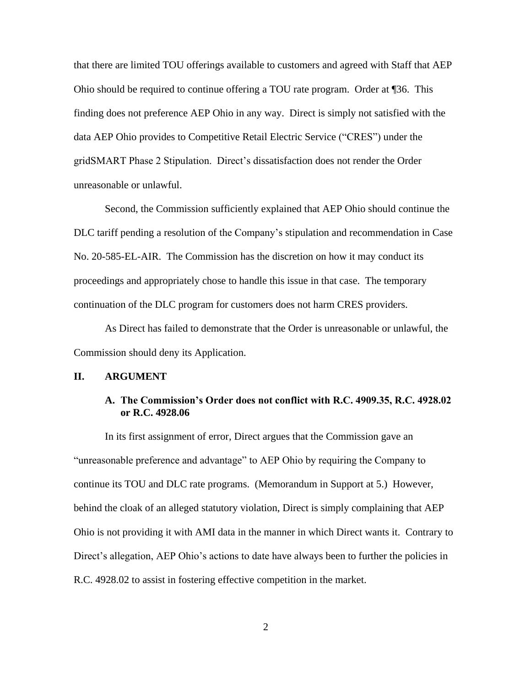that there are limited TOU offerings available to customers and agreed with Staff that AEP Ohio should be required to continue offering a TOU rate program. Order at ¶36. This finding does not preference AEP Ohio in any way. Direct is simply not satisfied with the data AEP Ohio provides to Competitive Retail Electric Service ("CRES") under the gridSMART Phase 2 Stipulation. Direct's dissatisfaction does not render the Order unreasonable or unlawful.

Second, the Commission sufficiently explained that AEP Ohio should continue the DLC tariff pending a resolution of the Company's stipulation and recommendation in Case No. 20-585-EL-AIR. The Commission has the discretion on how it may conduct its proceedings and appropriately chose to handle this issue in that case. The temporary continuation of the DLC program for customers does not harm CRES providers.

As Direct has failed to demonstrate that the Order is unreasonable or unlawful, the Commission should deny its Application.

### **II. ARGUMENT**

### **A. The Commission's Order does not conflict with R.C. 4909.35, R.C. 4928.02 or R.C. 4928.06**

In its first assignment of error, Direct argues that the Commission gave an "unreasonable preference and advantage" to AEP Ohio by requiring the Company to continue its TOU and DLC rate programs. (Memorandum in Support at 5.) However, behind the cloak of an alleged statutory violation, Direct is simply complaining that AEP Ohio is not providing it with AMI data in the manner in which Direct wants it. Contrary to Direct's allegation, AEP Ohio's actions to date have always been to further the policies in R.C. 4928.02 to assist in fostering effective competition in the market.

2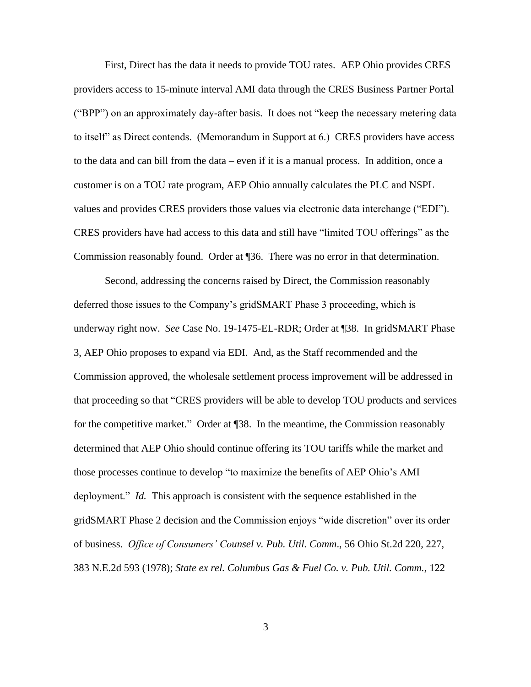First, Direct has the data it needs to provide TOU rates. AEP Ohio provides CRES providers access to 15-minute interval AMI data through the CRES Business Partner Portal ("BPP") on an approximately day-after basis. It does not "keep the necessary metering data to itself" as Direct contends. (Memorandum in Support at 6.) CRES providers have access to the data and can bill from the data – even if it is a manual process. In addition, once a customer is on a TOU rate program, AEP Ohio annually calculates the PLC and NSPL values and provides CRES providers those values via electronic data interchange ("EDI"). CRES providers have had access to this data and still have "limited TOU offerings" as the Commission reasonably found. Order at ¶36. There was no error in that determination.

Second, addressing the concerns raised by Direct, the Commission reasonably deferred those issues to the Company's gridSMART Phase 3 proceeding, which is underway right now. *See* Case No. 19-1475-EL-RDR; Order at ¶38. In gridSMART Phase 3, AEP Ohio proposes to expand via EDI. And, as the Staff recommended and the Commission approved, the wholesale settlement process improvement will be addressed in that proceeding so that "CRES providers will be able to develop TOU products and services for the competitive market." Order at ¶38. In the meantime, the Commission reasonably determined that AEP Ohio should continue offering its TOU tariffs while the market and those processes continue to develop "to maximize the benefits of AEP Ohio's AMI deployment." *Id.* This approach is consistent with the sequence established in the gridSMART Phase 2 decision and the Commission enjoys "wide discretion" over its order of business. *Office of Consumers' Counsel v. Pub. Util. Comm*., 56 Ohio St.2d 220, 227, 383 N.E.2d 593 (1978); *State ex rel. Columbus Gas & Fuel Co. v. Pub. Util. Comm.*, 122

3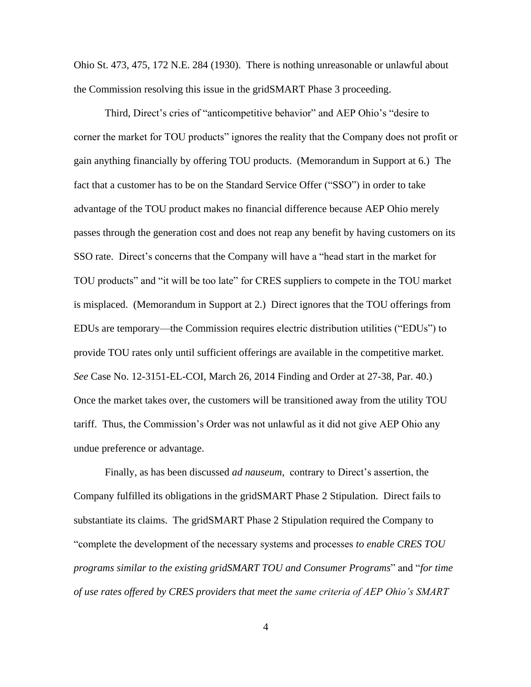Ohio St. 473, 475, 172 N.E. 284 (1930). There is nothing unreasonable or unlawful about the Commission resolving this issue in the gridSMART Phase 3 proceeding.

Third, Direct's cries of "anticompetitive behavior" and AEP Ohio's "desire to corner the market for TOU products" ignores the reality that the Company does not profit or gain anything financially by offering TOU products. (Memorandum in Support at 6.) The fact that a customer has to be on the Standard Service Offer ("SSO") in order to take advantage of the TOU product makes no financial difference because AEP Ohio merely passes through the generation cost and does not reap any benefit by having customers on its SSO rate. Direct's concerns that the Company will have a "head start in the market for TOU products" and "it will be too late" for CRES suppliers to compete in the TOU market is misplaced. (Memorandum in Support at 2.) Direct ignores that the TOU offerings from EDUs are temporary—the Commission requires electric distribution utilities ("EDUs") to provide TOU rates only until sufficient offerings are available in the competitive market. *See* Case No. 12-3151-EL-COI, March 26, 2014 Finding and Order at 27-38, Par. 40.) Once the market takes over, the customers will be transitioned away from the utility TOU tariff. Thus, the Commission's Order was not unlawful as it did not give AEP Ohio any undue preference or advantage.

Finally, as has been discussed *ad nauseum*, contrary to Direct's assertion, the Company fulfilled its obligations in the gridSMART Phase 2 Stipulation. Direct fails to substantiate its claims. The gridSMART Phase 2 Stipulation required the Company to "complete the development of the necessary systems and processes *to enable CRES TOU programs similar to the existing gridSMART TOU and Consumer Programs*" and "*for time of use rates offered by CRES providers that meet the same criteria of AEP Ohio's SMART* 

4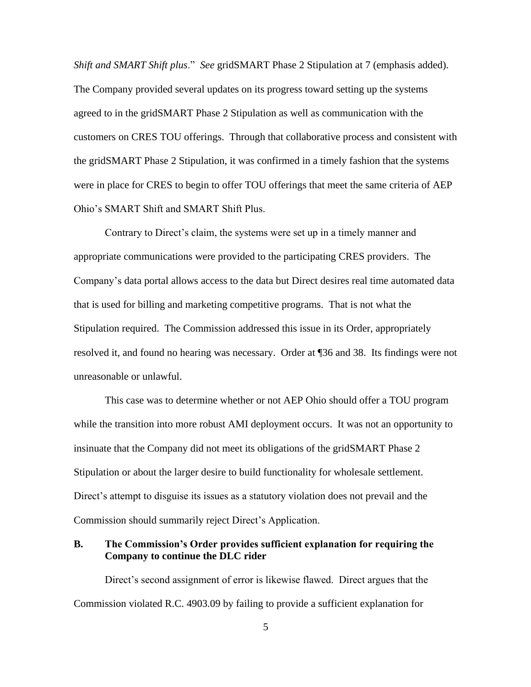*Shift and SMART Shift plus*." *See* gridSMART Phase 2 Stipulation at 7 (emphasis added). The Company provided several updates on its progress toward setting up the systems agreed to in the gridSMART Phase 2 Stipulation as well as communication with the customers on CRES TOU offerings. Through that collaborative process and consistent with the gridSMART Phase 2 Stipulation, it was confirmed in a timely fashion that the systems were in place for CRES to begin to offer TOU offerings that meet the same criteria of AEP Ohio's SMART Shift and SMART Shift Plus.

Contrary to Direct's claim, the systems were set up in a timely manner and appropriate communications were provided to the participating CRES providers. The Company's data portal allows access to the data but Direct desires real time automated data that is used for billing and marketing competitive programs. That is not what the Stipulation required. The Commission addressed this issue in its Order, appropriately resolved it, and found no hearing was necessary. Order at ¶36 and 38. Its findings were not unreasonable or unlawful.

This case was to determine whether or not AEP Ohio should offer a TOU program while the transition into more robust AMI deployment occurs. It was not an opportunity to insinuate that the Company did not meet its obligations of the gridSMART Phase 2 Stipulation or about the larger desire to build functionality for wholesale settlement. Direct's attempt to disguise its issues as a statutory violation does not prevail and the Commission should summarily reject Direct's Application.

## **B. The Commission's Order provides sufficient explanation for requiring the Company to continue the DLC rider**

Direct's second assignment of error is likewise flawed. Direct argues that the Commission violated R.C. 4903.09 by failing to provide a sufficient explanation for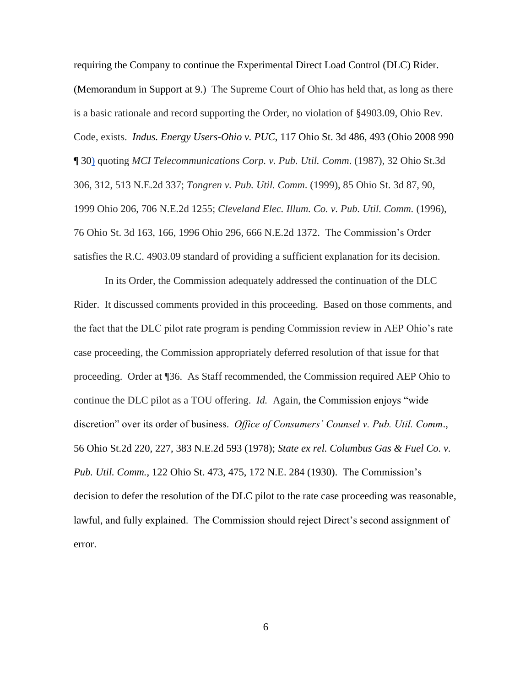requiring the Company to continue the Experimental Direct Load Control (DLC) Rider. (Memorandum in Support at 9.) The Supreme Court of Ohio has held that, as long as there is a basic rationale and record supporting the Order, no violation of §4903.09, Ohio Rev. Code, exists. *Indus. Energy Users-Ohio v. PUC*[, 117 Ohio St. 3d 486, 493 \(Ohio 2008 990](http://www.lexis.com/research/xlink?app=00075&view=full&searchtype=get&search=117+Ohio+St.+3d+493)  [¶ 30\)](http://www.lexis.com/research/xlink?app=00075&view=full&searchtype=get&search=117+Ohio+St.+3d+493) quoting *MCI Telecommunications Corp. v. Pub. Util. Comm*. (1987), 32 Ohio St.3d 306, 312, 513 N.E.2d 337; *Tongren v. Pub. Util. Comm*. (1999), 85 Ohio St. 3d 87, 90, 1999 Ohio 206, 706 N.E.2d 1255; *Cleveland Elec. Illum. Co. v. Pub. Util. Comm.* (1996), 76 Ohio St. 3d 163, 166, 1996 Ohio 296, 666 N.E.2d 1372. The Commission's Order satisfies the R.C. 4903.09 standard of providing a sufficient explanation for its decision.

In its Order, the Commission adequately addressed the continuation of the DLC Rider. It discussed comments provided in this proceeding. Based on those comments, and the fact that the DLC pilot rate program is pending Commission review in AEP Ohio's rate case proceeding, the Commission appropriately deferred resolution of that issue for that proceeding. Order at ¶36. As Staff recommended, the Commission required AEP Ohio to continue the DLC pilot as a TOU offering. *Id.* Again, the Commission enjoys "wide discretion" over its order of business. *Office of Consumers' Counsel v. Pub. Util. Comm*., 56 Ohio St.2d 220, 227, 383 N.E.2d 593 (1978); *State ex rel. Columbus Gas & Fuel Co. v. Pub. Util. Comm.*, 122 Ohio St. 473, 475, 172 N.E. 284 (1930). The Commission's decision to defer the resolution of the DLC pilot to the rate case proceeding was reasonable, lawful, and fully explained. The Commission should reject Direct's second assignment of error.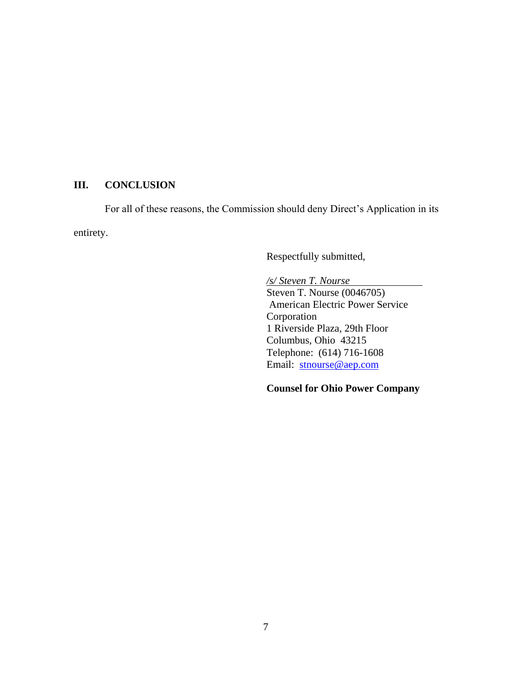## **III. CONCLUSION**

For all of these reasons, the Commission should deny Direct's Application in its entirety.

Respectfully submitted,

*/s/ Steven T. Nourse* Steven T. Nourse (0046705) American Electric Power Service Corporation 1 Riverside Plaza, 29th Floor Columbus, Ohio 43215 Telephone: (614) 716-1608 Email: [stnourse@aep.com](mailto:stnourse@aep.com)

# **Counsel for Ohio Power Company**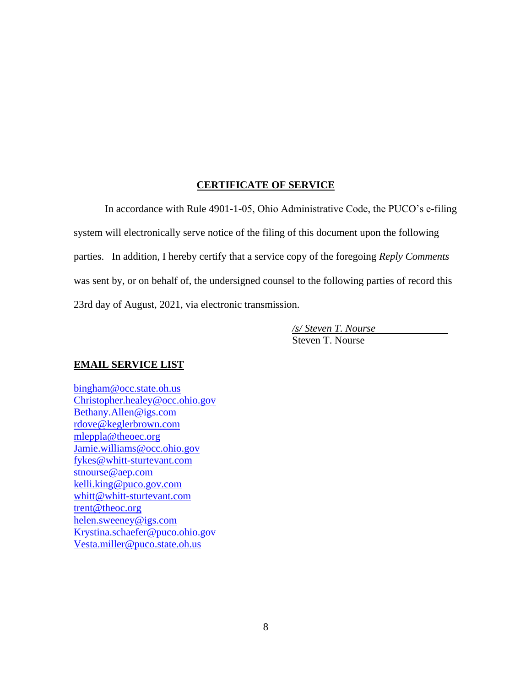### **CERTIFICATE OF SERVICE**

In accordance with Rule 4901-1-05, Ohio Administrative Code, the PUCO's e-filing system will electronically serve notice of the filing of this document upon the following parties. In addition, I hereby certify that a service copy of the foregoing *Reply Comments* was sent by, or on behalf of, the undersigned counsel to the following parties of record this 23rd day of August, 2021, via electronic transmission.

> */s/ Steven T. Nourse* Steven T. Nourse

### **EMAIL SERVICE LIST**

[bingham@occ.state.oh.us](mailto:bingham@occ.state.oh.us) [Christopher.healey@occ.ohio.gov](mailto:Christopher.healey@occ.ohio.gov) [Bethany.Allen@igs.com](mailto:Bethany.Allen@igs.com) [rdove@keglerbrown.com](mailto:rdove@keglerbrown.com) [mleppla@theoec.org](mailto:mleppla@theoec.org) [Jamie.williams@occ.ohio.gov](mailto:Jamie.williams@occ.ohio.gov) [fykes@whitt-sturtevant.com](mailto:fykes@whitt-sturtevant.com) [stnourse@aep.com](mailto:stnourse@aep.com) [kelli.king@puco.gov.com](mailto:kelli.king@puco.gov.com) [whitt@whitt-sturtevant.com](mailto:whitt@whitt-sturtevant.com) [trent@theoc.org](mailto:trent@theoc.org) [helen.sweeney@igs.com](mailto:helen.sweeney@igs.com) [Krystina.schaefer@puco.ohio.gov](mailto:Krystina.schaefer@puco.ohio.gov) [Vesta.miller@puco.state.oh.us](mailto:Vesta.miller@puco.state.oh.us)